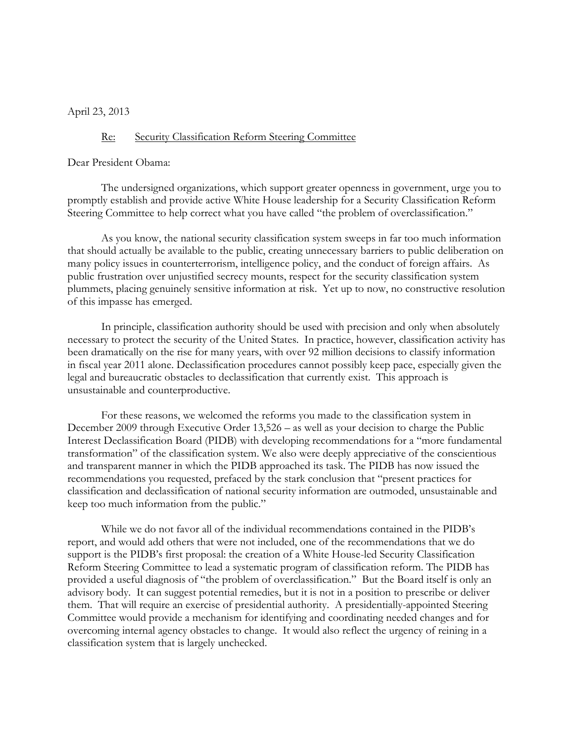April 23, 2013

## Re: Security Classification Reform Steering Committee

Dear President Obama:

The undersigned organizations, which support greater openness in government, urge you to promptly establish and provide active White House leadership for a Security Classification Reform Steering Committee to help correct what you have called "the problem of overclassification."

As you know, the national security classification system sweeps in far too much information that should actually be available to the public, creating unnecessary barriers to public deliberation on many policy issues in counterterrorism, intelligence policy, and the conduct of foreign affairs. As public frustration over unjustified secrecy mounts, respect for the security classification system plummets, placing genuinely sensitive information at risk. Yet up to now, no constructive resolution of this impasse has emerged.

In principle, classification authority should be used with precision and only when absolutely necessary to protect the security of the United States. In practice, however, classification activity has been dramatically on the rise for many years, with over 92 million decisions to classify information in fiscal year 2011 alone. Declassification procedures cannot possibly keep pace, especially given the legal and bureaucratic obstacles to declassification that currently exist. This approach is unsustainable and counterproductive.

For these reasons, we welcomed the reforms you made to the classification system in December 2009 through Executive Order 13,526 – as well as your decision to charge the Public Interest Declassification Board (PIDB) with developing recommendations for a "more fundamental transformation" of the classification system. We also were deeply appreciative of the conscientious and transparent manner in which the PIDB approached its task. The PIDB has now issued the recommendations you requested, prefaced by the stark conclusion that "present practices for classification and declassification of national security information are outmoded, unsustainable and keep too much information from the public."

While we do not favor all of the individual recommendations contained in the PIDB's report, and would add others that were not included, one of the recommendations that we do support is the PIDB's first proposal: the creation of a White House-led Security Classification Reform Steering Committee to lead a systematic program of classification reform. The PIDB has provided a useful diagnosis of "the problem of overclassification." But the Board itself is only an advisory body. It can suggest potential remedies, but it is not in a position to prescribe or deliver them. That will require an exercise of presidential authority. A presidentially-appointed Steering Committee would provide a mechanism for identifying and coordinating needed changes and for overcoming internal agency obstacles to change. It would also reflect the urgency of reining in a classification system that is largely unchecked.